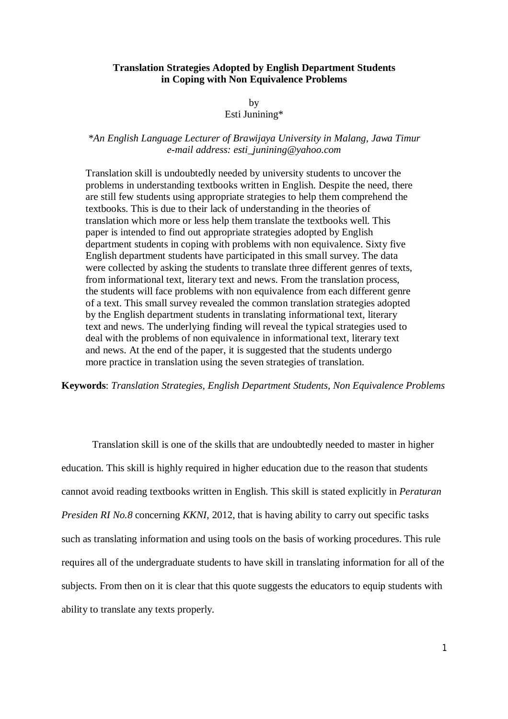#### **Translation Strategies Adopted by English Department Students in Coping with Non Equivalence Problems**

by

# Esti Junining\*

# *\*An English Language Lecturer of Brawijaya University in Malang, Jawa Timur e-mail address: esti\_junining@yahoo.com*

Translation skill is undoubtedly needed by university students to uncover the problems in understanding textbooks written in English. Despite the need, there are still few students using appropriate strategies to help them comprehend the textbooks. This is due to their lack of understanding in the theories of translation which more or less help them translate the textbooks well. This paper is intended to find out appropriate strategies adopted by English department students in coping with problems with non equivalence. Sixty five English department students have participated in this small survey. The data were collected by asking the students to translate three different genres of texts, from informational text, literary text and news. From the translation process, the students will face problems with non equivalence from each different genre of a text. This small survey revealed the common translation strategies adopted by the English department students in translating informational text, literary text and news. The underlying finding will reveal the typical strategies used to deal with the problems of non equivalence in informational text, literary text and news. At the end of the paper, it is suggested that the students undergo more practice in translation using the seven strategies of translation.

**Keywords**: *Translation Strategies, English Department Students, Non Equivalence Problems*

Translation skill is one of the skills that are undoubtedly needed to master in higher education. This skill is highly required in higher education due to the reason that students cannot avoid reading textbooks written in English. This skill is stated explicitly in *Peraturan Presiden RI No.8* concerning *KKNI*, 2012, that is having ability to carry out specific tasks such as translating information and using tools on the basis of working procedures. This rule requires all of the undergraduate students to have skill in translating information for all of the subjects. From then on it is clear that this quote suggests the educators to equip students with ability to translate any texts properly.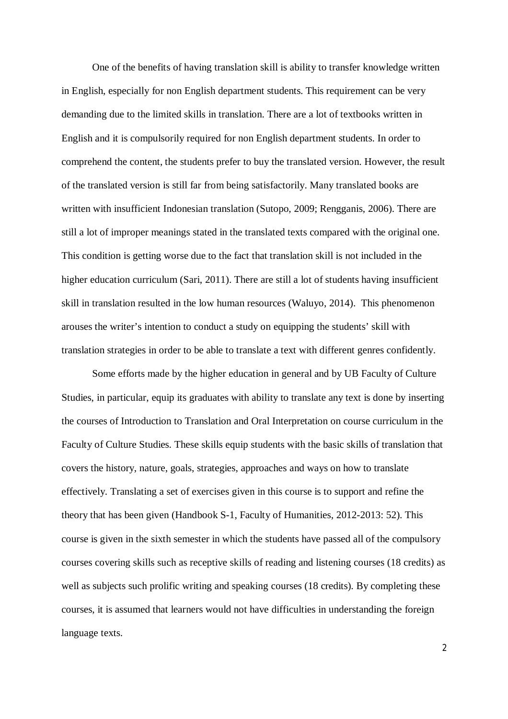One of the benefits of having translation skill is ability to transfer knowledge written in English, especially for non English department students. This requirement can be very demanding due to the limited skills in translation. There are a lot of textbooks written in English and it is compulsorily required for non English department students. In order to comprehend the content, the students prefer to buy the translated version. However, the result of the translated version is still far from being satisfactorily. Many translated books are written with insufficient Indonesian translation (Sutopo, 2009; Rengganis, 2006). There are still a lot of improper meanings stated in the translated texts compared with the original one. This condition is getting worse due to the fact that translation skill is not included in the higher education curriculum (Sari, 2011). There are still a lot of students having insufficient skill in translation resulted in the low human resources (Waluyo, 2014). This phenomenon arouses the writer's intention to conduct a study on equipping the students' skill with translation strategies in order to be able to translate a text with different genres confidently.

Some efforts made by the higher education in general and by UB Faculty of Culture Studies, in particular, equip its graduates with ability to translate any text is done by inserting the courses of Introduction to Translation and Oral Interpretation on course curriculum in the Faculty of Culture Studies. These skills equip students with the basic skills of translation that covers the history, nature, goals, strategies, approaches and ways on how to translate effectively. Translating a set of exercises given in this course is to support and refine the theory that has been given (Handbook S-1, Faculty of Humanities, 2012-2013: 52). This course is given in the sixth semester in which the students have passed all of the compulsory courses covering skills such as receptive skills of reading and listening courses (18 credits) as well as subjects such prolific writing and speaking courses (18 credits). By completing these courses, it is assumed that learners would not have difficulties in understanding the foreign language texts.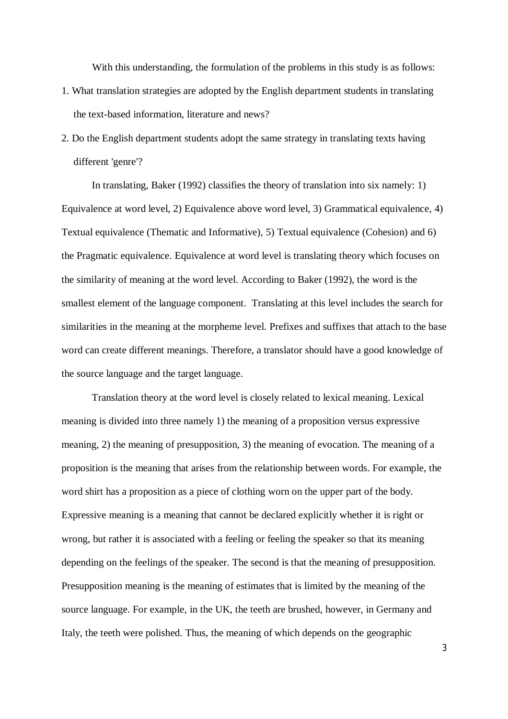With this understanding, the formulation of the problems in this study is as follows:

- 1. What translation strategies are adopted by the English department students in translating the text-based information, literature and news?
- 2. Do the English department students adopt the same strategy in translating texts having different 'genre'?

In translating, Baker (1992) classifies the theory of translation into six namely: 1) Equivalence at word level, 2) Equivalence above word level, 3) Grammatical equivalence, 4) Textual equivalence (Thematic and Informative), 5) Textual equivalence (Cohesion) and 6) the Pragmatic equivalence. Equivalence at word level is translating theory which focuses on the similarity of meaning at the word level. According to Baker (1992), the word is the smallest element of the language component. Translating at this level includes the search for similarities in the meaning at the morpheme level. Prefixes and suffixes that attach to the base word can create different meanings. Therefore, a translator should have a good knowledge of the source language and the target language.

Translation theory at the word level is closely related to lexical meaning. Lexical meaning is divided into three namely 1) the meaning of a proposition versus expressive meaning, 2) the meaning of presupposition, 3) the meaning of evocation. The meaning of a proposition is the meaning that arises from the relationship between words. For example, the word shirt has a proposition as a piece of clothing worn on the upper part of the body. Expressive meaning is a meaning that cannot be declared explicitly whether it is right or wrong, but rather it is associated with a feeling or feeling the speaker so that its meaning depending on the feelings of the speaker. The second is that the meaning of presupposition. Presupposition meaning is the meaning of estimates that is limited by the meaning of the source language. For example, in the UK, the teeth are brushed, however, in Germany and Italy, the teeth were polished. Thus, the meaning of which depends on the geographic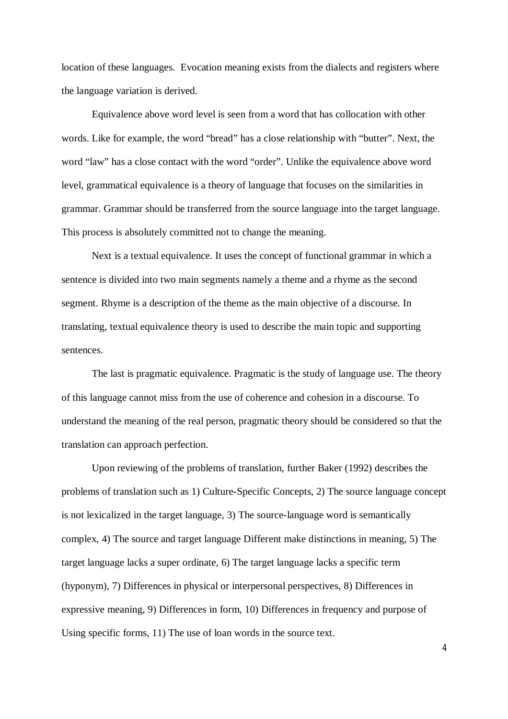location of these languages. Evocation meaning exists from the dialects and registers where the language variation is derived.

Equivalence above word level is seen from a word that has collocation with other words. Like for example, the word "bread" has a close relationship with "butter". Next, the word "law" has a close contact with the word "order". Unlike the equivalence above word level, grammatical equivalence is a theory of language that focuses on the similarities in grammar. Grammar should be transferred from the source language into the target language. This process is absolutely committed not to change the meaning.

Next is a textual equivalence. It uses the concept of functional grammar in which a sentence is divided into two main segments namely a theme and a rhyme as the second segment. Rhyme is a description of the theme as the main objective of a discourse. In translating, textual equivalence theory is used to describe the main topic and supporting sentences.

The last is pragmatic equivalence. Pragmatic is the study of language use. The theory of this language cannot miss from the use of coherence and cohesion in a discourse. To understand the meaning of the real person, pragmatic theory should be considered so that the translation can approach perfection.

Upon reviewing of the problems of translation, further Baker (1992) describes the problems of translation such as 1) Culture-Specific Concepts, 2) The source language concept is not lexicalized in the target language, 3) The source-language word is semantically complex, 4) The source and target language Different make distinctions in meaning, 5) The target language lacks a super ordinate, 6) The target language lacks a specific term (hyponym), 7) Differences in physical or interpersonal perspectives, 8) Differences in expressive meaning, 9) Differences in form, 10) Differences in frequency and purpose of Using specific forms, 11) The use of loan words in the source text.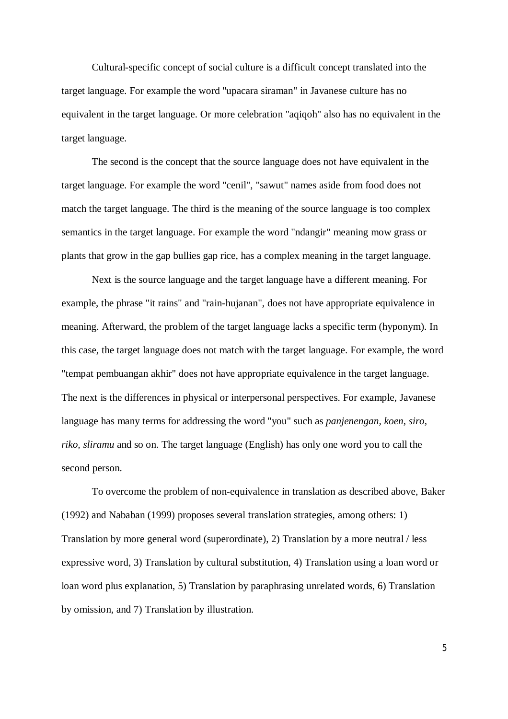Cultural-specific concept of social culture is a difficult concept translated into the target language. For example the word "upacara siraman" in Javanese culture has no equivalent in the target language. Or more celebration "aqiqoh" also has no equivalent in the target language.

The second is the concept that the source language does not have equivalent in the target language. For example the word "cenil", "sawut" names aside from food does not match the target language. The third is the meaning of the source language is too complex semantics in the target language. For example the word "ndangir" meaning mow grass or plants that grow in the gap bullies gap rice, has a complex meaning in the target language.

Next is the source language and the target language have a different meaning. For example, the phrase "it rains" and "rain-hujanan", does not have appropriate equivalence in meaning. Afterward, the problem of the target language lacks a specific term (hyponym). In this case, the target language does not match with the target language. For example, the word "tempat pembuangan akhir" does not have appropriate equivalence in the target language. The next is the differences in physical or interpersonal perspectives. For example, Javanese language has many terms for addressing the word "you" such as *panjenengan, koen, siro, riko, sliramu* and so on. The target language (English) has only one word you to call the second person.

To overcome the problem of non-equivalence in translation as described above, Baker (1992) and Nababan (1999) proposes several translation strategies, among others: 1) Translation by more general word (superordinate), 2) Translation by a more neutral / less expressive word, 3) Translation by cultural substitution, 4) Translation using a loan word or loan word plus explanation, 5) Translation by paraphrasing unrelated words, 6) Translation by omission, and 7) Translation by illustration.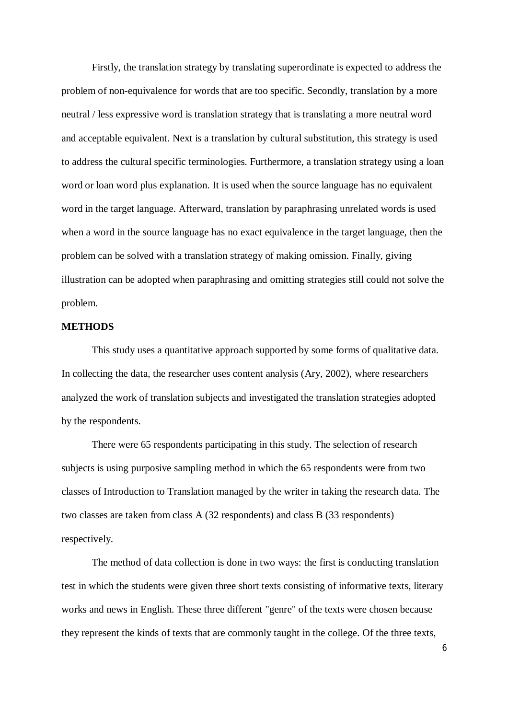Firstly, the translation strategy by translating superordinate is expected to address the problem of non-equivalence for words that are too specific. Secondly, translation by a more neutral / less expressive word is translation strategy that is translating a more neutral word and acceptable equivalent. Next is a translation by cultural substitution, this strategy is used to address the cultural specific terminologies. Furthermore, a translation strategy using a loan word or loan word plus explanation. It is used when the source language has no equivalent word in the target language. Afterward, translation by paraphrasing unrelated words is used when a word in the source language has no exact equivalence in the target language, then the problem can be solved with a translation strategy of making omission. Finally, giving illustration can be adopted when paraphrasing and omitting strategies still could not solve the problem.

### **METHODS**

This study uses a quantitative approach supported by some forms of qualitative data. In collecting the data, the researcher uses content analysis (Ary, 2002), where researchers analyzed the work of translation subjects and investigated the translation strategies adopted by the respondents.

There were 65 respondents participating in this study. The selection of research subjects is using purposive sampling method in which the 65 respondents were from two classes of Introduction to Translation managed by the writer in taking the research data. The two classes are taken from class A (32 respondents) and class B (33 respondents) respectively.

The method of data collection is done in two ways: the first is conducting translation test in which the students were given three short texts consisting of informative texts, literary works and news in English. These three different "genre" of the texts were chosen because they represent the kinds of texts that are commonly taught in the college. Of the three texts,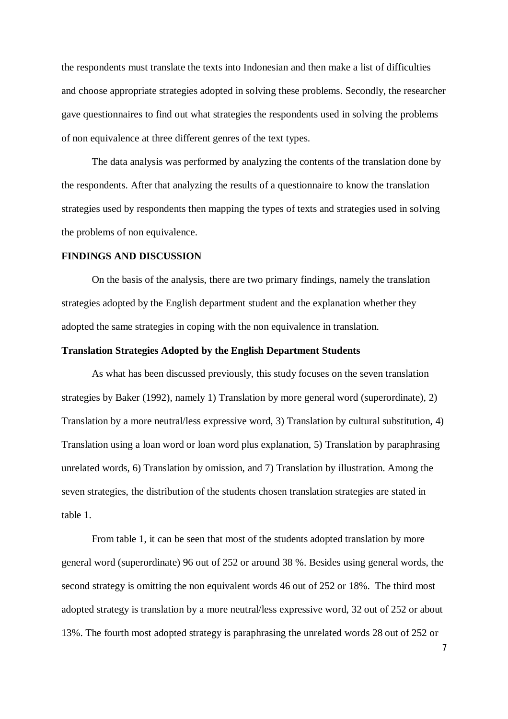the respondents must translate the texts into Indonesian and then make a list of difficulties and choose appropriate strategies adopted in solving these problems. Secondly, the researcher gave questionnaires to find out what strategies the respondents used in solving the problems of non equivalence at three different genres of the text types.

The data analysis was performed by analyzing the contents of the translation done by the respondents. After that analyzing the results of a questionnaire to know the translation strategies used by respondents then mapping the types of texts and strategies used in solving the problems of non equivalence.

#### **FINDINGS AND DISCUSSION**

On the basis of the analysis, there are two primary findings, namely the translation strategies adopted by the English department student and the explanation whether they adopted the same strategies in coping with the non equivalence in translation.

### **Translation Strategies Adopted by the English Department Students**

As what has been discussed previously, this study focuses on the seven translation strategies by Baker (1992), namely 1) Translation by more general word (superordinate), 2) Translation by a more neutral/less expressive word, 3) Translation by cultural substitution, 4) Translation using a loan word or loan word plus explanation, 5) Translation by paraphrasing unrelated words, 6) Translation by omission, and 7) Translation by illustration. Among the seven strategies, the distribution of the students chosen translation strategies are stated in table 1.

From table 1, it can be seen that most of the students adopted translation by more general word (superordinate) 96 out of 252 or around 38 %. Besides using general words, the second strategy is omitting the non equivalent words 46 out of 252 or 18%. The third most adopted strategy is translation by a more neutral/less expressive word, 32 out of 252 or about 13%. The fourth most adopted strategy is paraphrasing the unrelated words 28 out of 252 or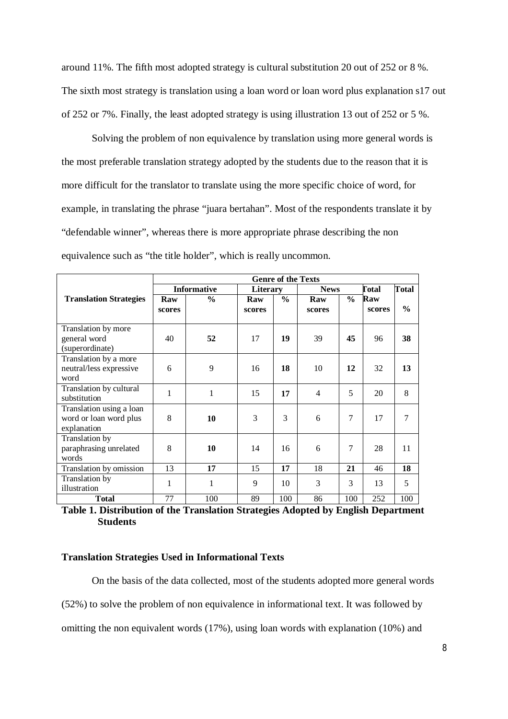around 11%. The fifth most adopted strategy is cultural substitution 20 out of 252 or 8 %. The sixth most strategy is translation using a loan word or loan word plus explanation s17 out of 252 or 7%. Finally, the least adopted strategy is using illustration 13 out of 252 or 5 %.

Solving the problem of non equivalence by translation using more general words is the most preferable translation strategy adopted by the students due to the reason that it is more difficult for the translator to translate using the more specific choice of word, for example, in translating the phrase "juara bertahan". Most of the respondents translate it by "defendable winner", whereas there is more appropriate phrase describing the non equivalence such as "the title holder", which is really uncommon.

|                               | <b>Genre of the Texts</b> |               |          |               |                |      |              |               |
|-------------------------------|---------------------------|---------------|----------|---------------|----------------|------|--------------|---------------|
|                               | <b>Informative</b>        |               | Literary |               | <b>News</b>    |      | <b>Total</b> | <b>Total</b>  |
| <b>Translation Strategies</b> | Raw                       | $\frac{0}{0}$ | Raw      | $\frac{0}{0}$ | Raw            | $\%$ | Raw          |               |
|                               | scores                    |               | scores   |               | scores         |      | scores       | $\frac{0}{0}$ |
|                               |                           |               |          |               |                |      |              |               |
| Translation by more           |                           |               |          |               |                |      |              |               |
| general word                  | 40                        | 52            | 17       | 19            | 39             | 45   | 96           | 38            |
| (superordinate)               |                           |               |          |               |                |      |              |               |
| Translation by a more         |                           |               |          |               |                |      |              |               |
| neutral/less expressive       | 6                         | 9             | 16       | 18            | 10             | 12   | 32           | 13            |
| word                          |                           |               |          |               |                |      |              |               |
| Translation by cultural       |                           |               |          |               |                | 5    |              |               |
| substitution                  | 1                         | 1             | 15       | 17            | $\overline{4}$ |      | 20           | 8             |
| Translation using a loan      |                           |               |          |               |                |      |              |               |
| word or loan word plus        | 8                         | 10            | 3        | 3             | 6              | 7    | 17           | 7             |
| explanation                   |                           |               |          |               |                |      |              |               |
| Translation by                |                           |               |          |               |                |      |              |               |
| paraphrasing unrelated        | 8                         | 10            | 14       | 16            | 6              | 7    | 28           | 11            |
| words                         |                           |               |          |               |                |      |              |               |
| Translation by omission       | 13                        | 17            | 15       | 17            | 18             | 21   | 46           | 18            |
| Translation by                | 1                         | 1             | 9        | 10            | 3              | 3    | 13           | 5             |
| illustration                  |                           |               |          |               |                |      |              |               |
| <b>Total</b>                  | 77                        | 100           | 89       | 100           | 86             | 100  | 252          | 100           |

**Table 1. Distribution of the Translation Strategies Adopted by English Department Students**

#### **Translation Strategies Used in Informational Texts**

On the basis of the data collected, most of the students adopted more general words (52%) to solve the problem of non equivalence in informational text. It was followed by omitting the non equivalent words (17%), using loan words with explanation (10%) and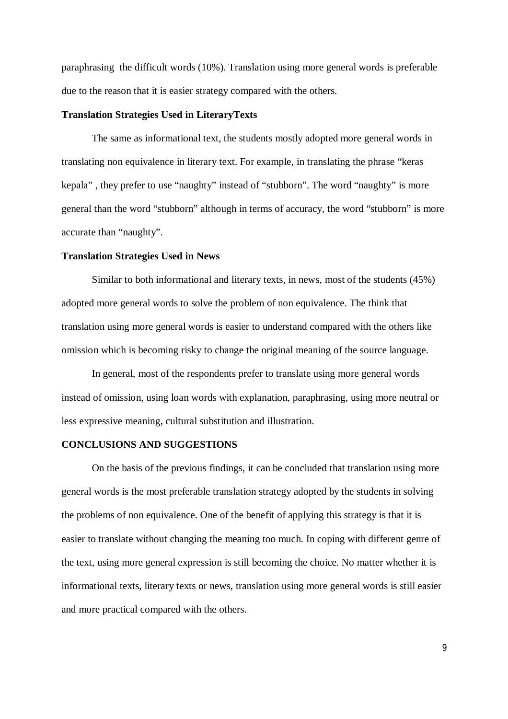paraphrasing the difficult words (10%). Translation using more general words is preferable due to the reason that it is easier strategy compared with the others.

#### **Translation Strategies Used in LiteraryTexts**

The same as informational text, the students mostly adopted more general words in translating non equivalence in literary text. For example, in translating the phrase "keras kepala" , they prefer to use "naughty" instead of "stubborn". The word "naughty" is more general than the word "stubborn" although in terms of accuracy, the word "stubborn" is more accurate than "naughty".

#### **Translation Strategies Used in News**

Similar to both informational and literary texts, in news, most of the students (45%) adopted more general words to solve the problem of non equivalence. The think that translation using more general words is easier to understand compared with the others like omission which is becoming risky to change the original meaning of the source language.

In general, most of the respondents prefer to translate using more general words instead of omission, using loan words with explanation, paraphrasing, using more neutral or less expressive meaning, cultural substitution and illustration.

#### **CONCLUSIONS AND SUGGESTIONS**

On the basis of the previous findings, it can be concluded that translation using more general words is the most preferable translation strategy adopted by the students in solving the problems of non equivalence. One of the benefit of applying this strategy is that it is easier to translate without changing the meaning too much. In coping with different genre of the text, using more general expression is still becoming the choice. No matter whether it is informational texts, literary texts or news, translation using more general words is still easier and more practical compared with the others.